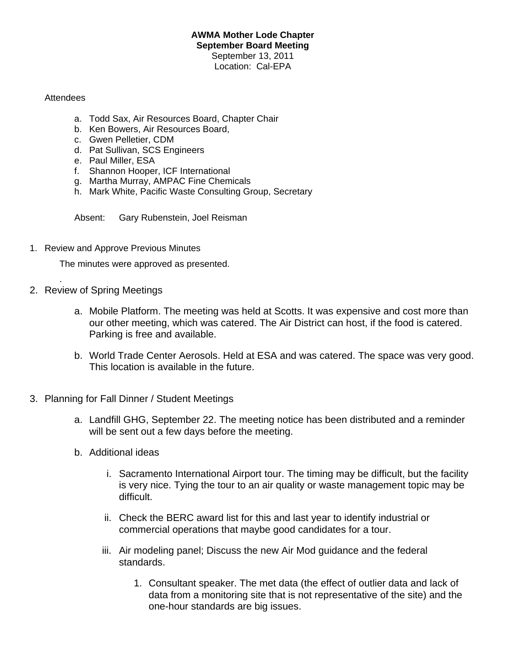## **AWMA Mother Lode Chapter September Board Meeting** September 13, 2011 Location: Cal-EPA

## **Attendees**

- a. Todd Sax, Air Resources Board, Chapter Chair
- b. Ken Bowers, Air Resources Board,
- c. Gwen Pelletier, CDM
- d. Pat Sullivan, SCS Engineers
- e. Paul Miller, ESA
- f. Shannon Hooper, ICF International
- g. Martha Murray, AMPAC Fine Chemicals
- h. Mark White, Pacific Waste Consulting Group, Secretary

Absent: Gary Rubenstein, Joel Reisman

1. Review and Approve Previous Minutes

The minutes were approved as presented.

2. Review of Spring Meetings

.

- a. Mobile Platform. The meeting was held at Scotts. It was expensive and cost more than our other meeting, which was catered. The Air District can host, if the food is catered. Parking is free and available.
- b. World Trade Center Aerosols. Held at ESA and was catered. The space was very good. This location is available in the future.
- 3. Planning for Fall Dinner / Student Meetings
	- a. Landfill GHG, September 22. The meeting notice has been distributed and a reminder will be sent out a few days before the meeting.
	- b. Additional ideas
		- i. Sacramento International Airport tour. The timing may be difficult, but the facility is very nice. Tying the tour to an air quality or waste management topic may be difficult.
		- ii. Check the BERC award list for this and last year to identify industrial or commercial operations that maybe good candidates for a tour.
		- iii. Air modeling panel; Discuss the new Air Mod guidance and the federal standards.
			- 1. Consultant speaker. The met data (the effect of outlier data and lack of data from a monitoring site that is not representative of the site) and the one-hour standards are big issues.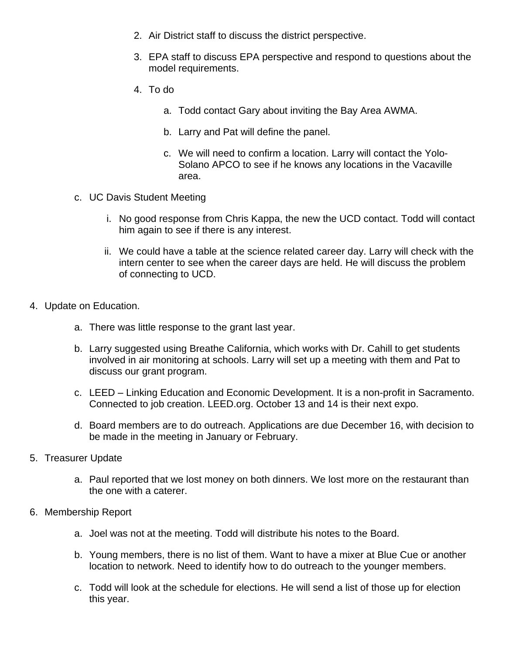- 2. Air District staff to discuss the district perspective.
- 3. EPA staff to discuss EPA perspective and respond to questions about the model requirements.
- 4. To do
	- a. Todd contact Gary about inviting the Bay Area AWMA.
	- b. Larry and Pat will define the panel.
	- c. We will need to confirm a location. Larry will contact the Yolo-Solano APCO to see if he knows any locations in the Vacaville area.
- c. UC Davis Student Meeting
	- i. No good response from Chris Kappa, the new the UCD contact. Todd will contact him again to see if there is any interest.
	- ii. We could have a table at the science related career day. Larry will check with the intern center to see when the career days are held. He will discuss the problem of connecting to UCD.
- 4. Update on Education.
	- a. There was little response to the grant last year.
	- b. Larry suggested using Breathe California, which works with Dr. Cahill to get students involved in air monitoring at schools. Larry will set up a meeting with them and Pat to discuss our grant program.
	- c. LEED Linking Education and Economic Development. It is a non-profit in Sacramento. Connected to job creation. LEED.org. October 13 and 14 is their next expo.
	- d. Board members are to do outreach. Applications are due December 16, with decision to be made in the meeting in January or February.
- 5. Treasurer Update
	- a. Paul reported that we lost money on both dinners. We lost more on the restaurant than the one with a caterer.
- 6. Membership Report
	- a. Joel was not at the meeting. Todd will distribute his notes to the Board.
	- b. Young members, there is no list of them. Want to have a mixer at Blue Cue or another location to network. Need to identify how to do outreach to the younger members.
	- c. Todd will look at the schedule for elections. He will send a list of those up for election this year.